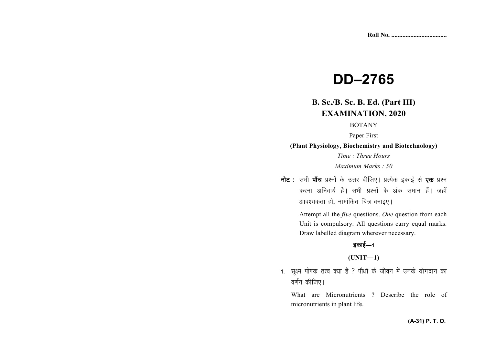# **DD–2765**

# **B. Sc./B. Sc. B. Ed. (Part III) EXAMINATION, 2020**

#### BOTANY

Paper First

**(Plant Physiology, Biochemistry and Biotechnology)**

*Time : Three Hours Maximum Marks : 50*

नोट : सभी पाँच प्रश्नों के उत्तर दीजिए। प्रत्येक इकाई से **एक** प्रश्न करना अनिवार्य है। सभी प्रश्नों के अंक समान हैं। जहाँ आवश्यकता हो, नामांकित चित्र बनाइए।

> Attempt all the *five* questions. *One* question from each Unit is compulsory. All questions carry equal marks. Draw labelled diagram wherever necessary.

## डकाई—1

#### **(UNIT—1)**

1. सुक्ष्म पोषक तत्व क्या हैं ? पौधों के जीवन में उनके योगदान का वर्णन कीजिए।

What are Micronutrients ? Describe the role of micronutrients in plant life.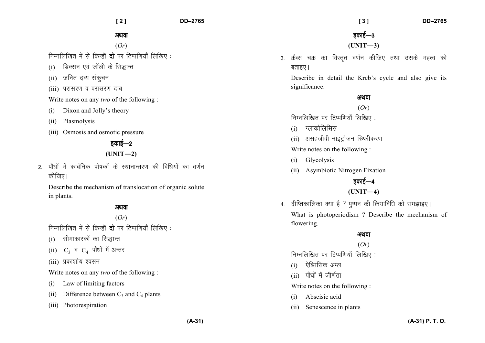अथवा

(*Or*)

निम्नलिखित में से किन्हीं **दो** पर टिप्पणियाँ लिखिए:

- $(i)$  डिक्सन एवं जॉली के सिद्धान्त
- $(i)$  जनित द्रव्य संकृचन
- (iii) परासरण व परासरण दाब

Write notes on any *two* of the following :

- (i) Dixon and Jolly's theory
- (ii) Plasmolysis
- (iii) Osmosis and osmotic pressure

## डकाई—2

## **(UNIT—2)**

2 पौधों में कार्बनिक पोषकों के स्थानान्तरण की विधियों का वर्णन कीजिए।

Describe the mechanism of translocation of organic solute in plants.

#### अथवा

## (*Or*)

निम्नलिखित में से किन्हीं **दो** पर टिप्पणियाँ लिखिए :

- $(i)$  सीमाकारकों का सिद्धान्त
- (ii)  $\rm\,C_{3}$  व  $\rm\,C_{4}$  पौधों में अन्तर
- $(iii)$  प्रकाशीय श्वसन

Write notes on any *two* of the following :

- (i) Law of limiting factors
- (ii) Difference between  $C_3$  and  $C_4$  plants
- (iii) Photorespiration

## $\overline{\mathsf{s}}$ काई—3 **(UNIT—3)**

3. क्रैब्स चक्र का विस्तृत वर्णन कीजिए तथा उसके महत्व को बताइए।

Describe in detail the Kreb's cycle and also give its significance.

#### अथवा

(*Or*)

निम्नलिखित पर टिप्पणियाँ लिखिए:

- $(i)$  ग्लाकोलिसिस
- $(ii)$  असहजीवी नाइट्रोजन स्थिरीकरण

Write notes on the following :

- (i) Glycolysis
- (ii) Asymbiotic Nitrogen Fixation

## इकाई—4 **(UNIT—4)**

4. दीप्तिकालिका क्या है ? पुष्पन की क्रियाविधि को समझाइए। What is photoperiodism ? Describe the mechanism of flowering.

## अथवा

# (*Or*)

निम्नलिखित पर टिप्पणियाँ लिखिए:

- $(i)$  , ऐब्सिसिक अम्ल
- $(i)$  पौधों में जीर्णता

Write notes on the following :

- (i) Abscisic acid
- (ii) Senescence in plants